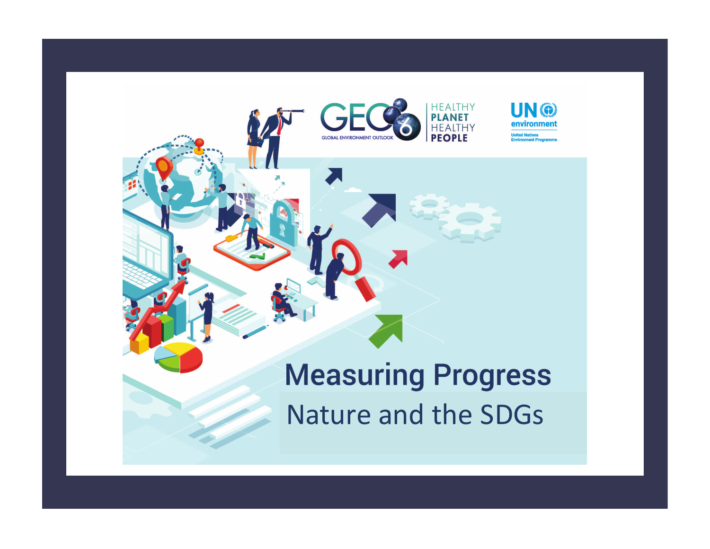

### **Measuring Progress** Nature and the SDGs

THY

UN @ environment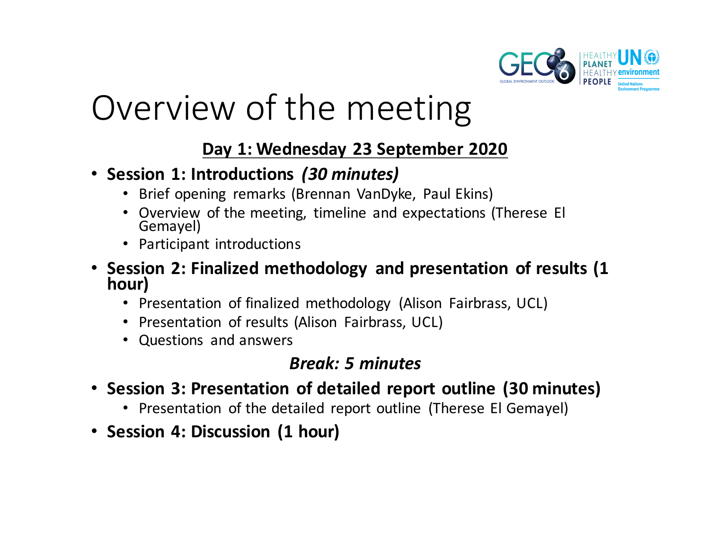

# Overview of the meeting

#### Day 1: Wednesday 23 September 2020

- **Session 1: Introductions**  *(30 minutes)*
	- Brief opening remarks (Brennan VanDyke, Paul Ekins)
	- Overview of the meeting, timeline and expectations (Therese El Gemayel)
	- Participant introductions
- Session 2: Finalized methodology and presentation of results (1 hour)
	- Presentation of finalized methodology (Alison Fairbrass, UCL)
	- Presentation of results (Alison Fairbrass, UCL)
	- Questions and answers

#### *Break: 5 minutes*

- Session 3: Presentation of detailed report outline (30 minutes)
	- Presentation of the detailed report outline (Therese El Gemayel)
- **Session 4: Discussion (1 hour)**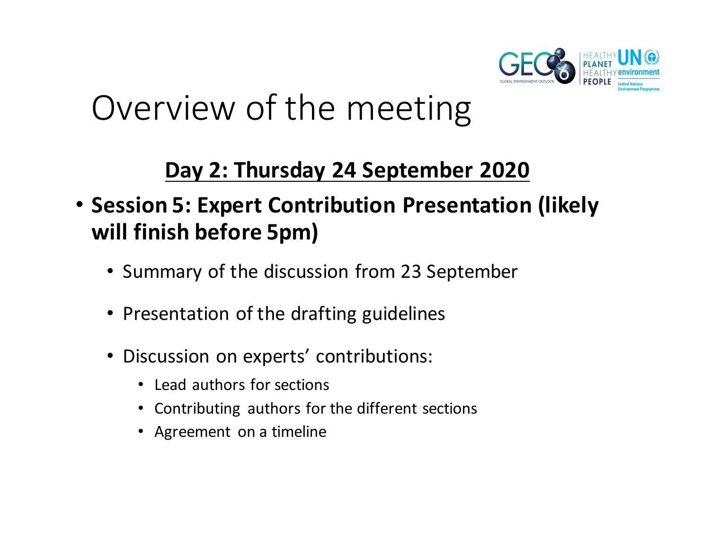

## Overview of the meeting

### Day 2: Thursday 24 September 2020

### **• Session 5: Expert Contribution Presentation (likely will finish before 5pm)**

- Summary of the discussion from 23 September
- Presentation of the drafting guidelines
- Discussion on experts' contributions:
	- Lead authors for sections
	- Contributing authors for the different sections
	- Agreement on a timeline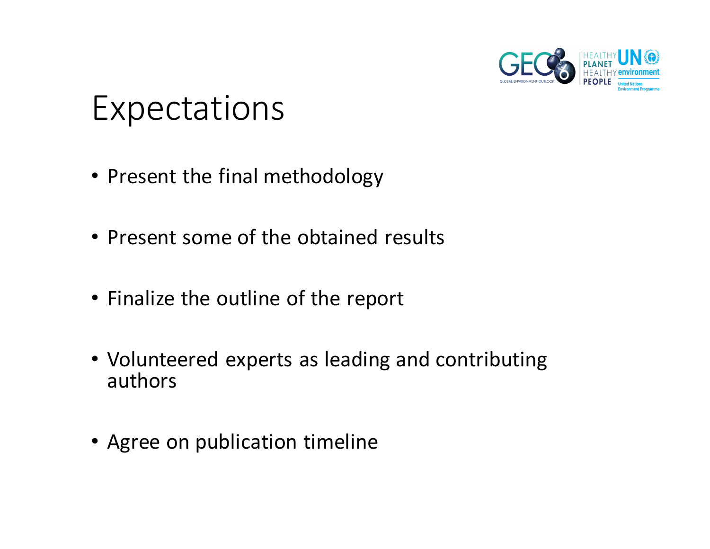

### **Expectations**

- Present the final methodology
- Present some of the obtained results
- Finalize the outline of the report
- Volunteered experts as leading and contributing authors
- Agree on publication timeline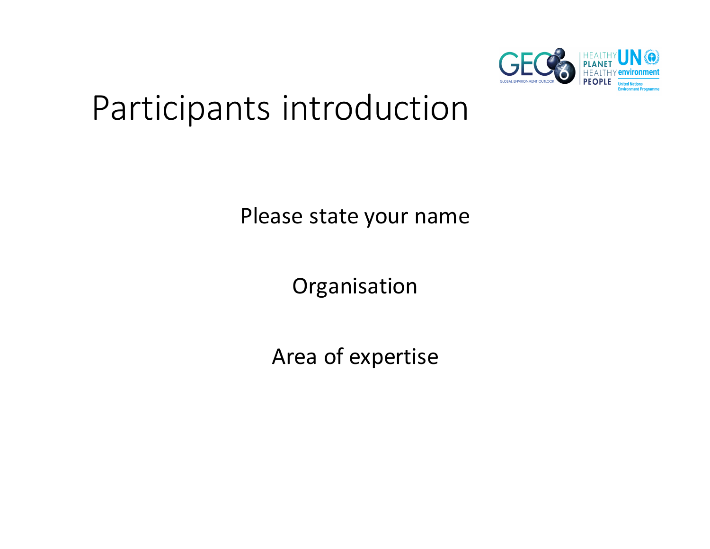

## Participants introduction

Please state your name

Organisation

Area of expertise